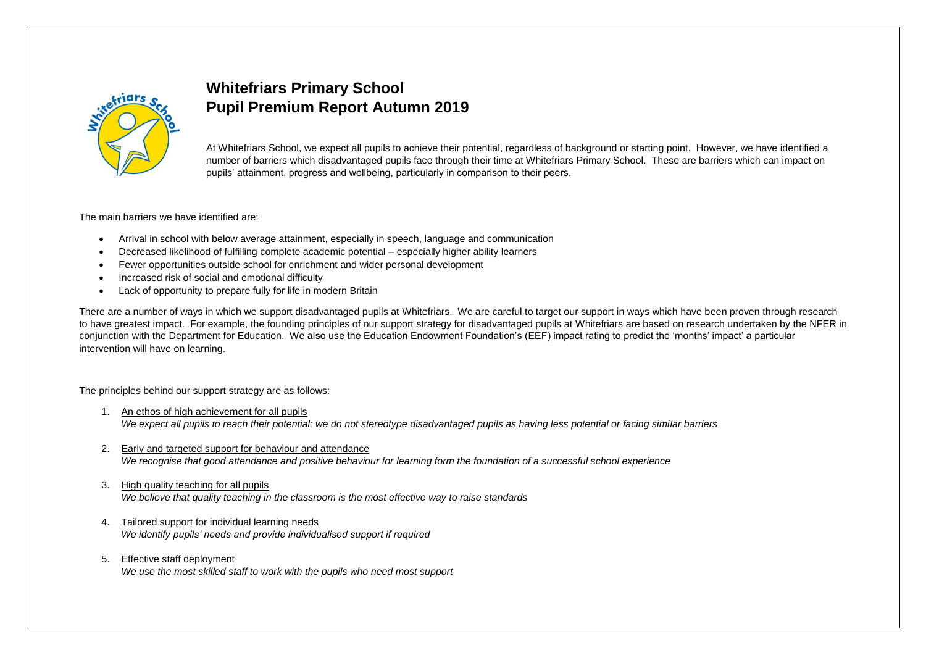

# **Whitefriars Primary School Pupil Premium Report Autumn 2019**

At Whitefriars School, we expect all pupils to achieve their potential, regardless of background or starting point. However, we have identified a number of barriers which disadvantaged pupils face through their time at Whitefriars Primary School. These are barriers which can impact on pupils' attainment, progress and wellbeing, particularly in comparison to their peers.

The main barriers we have identified are:

- Arrival in school with below average attainment, especially in speech, language and communication
- Decreased likelihood of fulfilling complete academic potential especially higher ability learners
- Fewer opportunities outside school for enrichment and wider personal development
- Increased risk of social and emotional difficulty
- Lack of opportunity to prepare fully for life in modern Britain

There are a number of ways in which we support disadvantaged pupils at Whitefriars. We are careful to target our support in ways which have been proven through research to have greatest impact. For example, the founding principles of our support strategy for disadvantaged pupils at Whitefriars are based on research undertaken by the NFER in conjunction with the Department for Education. We also use the Education Endowment Foundation's (EEF) impact rating to predict the 'months' impact' a particular intervention will have on learning.

The principles behind our support strategy are as follows:

- 1. An ethos of high achievement for all pupils *We expect all pupils to reach their potential; we do not stereotype disadvantaged pupils as having less potential or facing similar barriers*
- 2. Early and targeted support for behaviour and attendance *We recognise that good attendance and positive behaviour for learning form the foundation of a successful school experience*
- 3. High quality teaching for all pupils *We believe that quality teaching in the classroom is the most effective way to raise standards*
- 4. Tailored support for individual learning needs *We identify pupils' needs and provide individualised support if required*
- 5. Effective staff deployment *We use the most skilled staff to work with the pupils who need most support*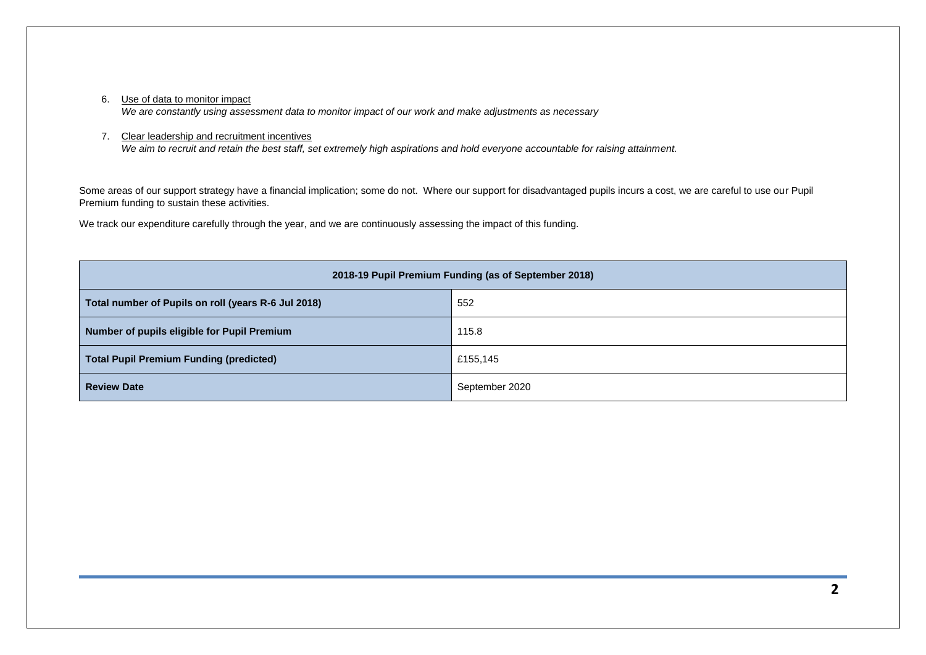## 6. Use of data to monitor impact

*We are constantly using assessment data to monitor impact of our work and make adjustments as necessary*

#### 7. Clear leadership and recruitment incentives

*We aim to recruit and retain the best staff, set extremely high aspirations and hold everyone accountable for raising attainment.*

Some areas of our support strategy have a financial implication; some do not. Where our support for disadvantaged pupils incurs a cost, we are careful to use our Pupil Premium funding to sustain these activities.

We track our expenditure carefully through the year, and we are continuously assessing the impact of this funding.

| 2018-19 Pupil Premium Funding (as of September 2018) |                |  |  |  |  |  |  |  |
|------------------------------------------------------|----------------|--|--|--|--|--|--|--|
| Total number of Pupils on roll (years R-6 Jul 2018)  | 552            |  |  |  |  |  |  |  |
| Number of pupils eligible for Pupil Premium          | 115.8          |  |  |  |  |  |  |  |
| <b>Total Pupil Premium Funding (predicted)</b>       | £155,145       |  |  |  |  |  |  |  |
| <b>Review Date</b>                                   | September 2020 |  |  |  |  |  |  |  |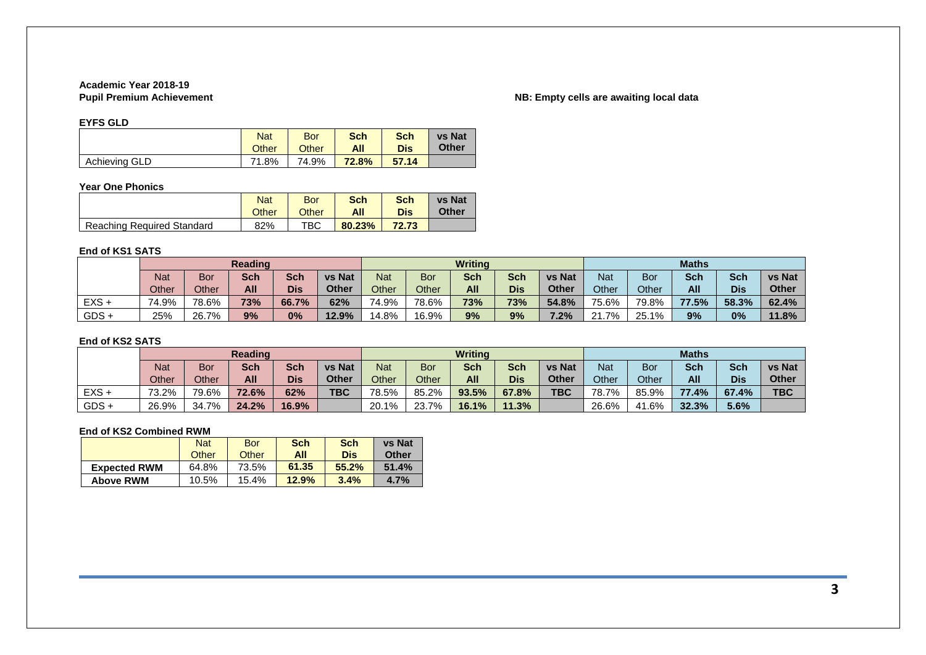# **Academic Year 2018-19**

# **NB: Empty cells are awaiting local data**

#### **EYFS GLD**

|               | <b>Nat</b>   | <b>Bor</b>   | <b>Sch</b> | <b>Sch</b> | <b>vs Nat</b> |
|---------------|--------------|--------------|------------|------------|---------------|
|               | <b>Other</b> | <b>Other</b> | All        | Dis        | <b>Other</b>  |
| Achieving GLD | 1.8%<br>71   | 74.9%        | 72.8%      | 57.14      |               |

#### **Year One Phonics**

|                            | <b>Nat</b> | Bor   | <b>Sch</b> | <b>Sch</b> | <b>vs Nat</b> |
|----------------------------|------------|-------|------------|------------|---------------|
|                            | Other      | Other | All        | <b>Dis</b> | Other         |
| Reaching Required Standard | 82%        | TBC   | 80.23%     | 72.73      |               |

#### **End of KS1 SATS**

|         | <b>Reading</b> |            |            |            |               | <b>Writing</b> |       |            |            | <b>Maths</b>  |            |       |            |            |               |
|---------|----------------|------------|------------|------------|---------------|----------------|-------|------------|------------|---------------|------------|-------|------------|------------|---------------|
|         | <b>Nat</b>     | <b>Bor</b> | <b>Sch</b> | <b>Sch</b> | <b>vs Nat</b> | <b>Nat</b>     | Bor   | <b>Sch</b> | Sch        | <b>vs Nat</b> | <b>Nat</b> | Bor   | <b>Sch</b> | <b>Sch</b> | <b>vs Nat</b> |
|         | Other          | Other      | All        | <b>Dis</b> | <b>Other</b>  | Other          | Other | All        | <b>Dis</b> | <b>Other</b>  | Other      | Other | All        | <b>Dis</b> | <b>Other</b>  |
| $EXS +$ | 74.9%          | 78.6%      | 73%        | 66.7%      | 62%           | 74.9%          | 78.6% | 73%        | 73%        | 54.8%         | 75.6%      | 79.8% | 77.5%      | 58.3%      | 62.4%         |
| $GDS +$ | 25%            | 26.7%      | 9%         | 0%         | 12.9%         | 14.8%          | 16.9% | 9%         | 9%         | $7.2\%$       | 21.7%      | 25.1% | 9%         | 0%         | 11.8%         |

## **End of KS2 SATS**

|         | <b>Reading</b> |       |            |       |               | <b>Writing</b> |       |            |            | <b>Maths</b>  |       |       |            |            |               |
|---------|----------------|-------|------------|-------|---------------|----------------|-------|------------|------------|---------------|-------|-------|------------|------------|---------------|
|         | <b>Nat</b>     | Bor   | <b>Sch</b> | Sch   | <b>vs Nat</b> | <b>Nat</b>     | Bor   | <b>Sch</b> | <b>Sch</b> | <b>vs Nat</b> | Nat   | Bor   | <b>Sch</b> | <b>Sch</b> | <b>vs Nat</b> |
|         | Other          | Other | All        | Dis   | Other         | Other          | Other | <b>All</b> | <b>Dis</b> | <b>Other</b>  | Other | Other | All        | <b>Dis</b> | <b>Other</b>  |
| $EXS +$ | 73.2%          | 79.6% | 72.6%      | 62%   | <b>TBC</b>    | 78.5%          | 85.2% | 93.5%      | 67.8%      | <b>TBC</b>    | 78.7% | 85.9% | 77.4%      | 67.4%      | <b>TBC</b>    |
| $GDS +$ | 26.9%          | 34.7% | 24.2%      | 16.9% |               | 20.1%          | 23.7% | 16.1%      | 11.3%      |               | 26.6% | 41.6% | 32.3%      | 5.6%       |               |

# **End of KS2 Combined RWM**

|                     | <b>Nat</b> | <b>Bor</b> | <b>Sch</b> | Sch   | <b>vs Nat</b> |
|---------------------|------------|------------|------------|-------|---------------|
|                     | Other      | Other      | All        | Dis   | Other         |
| <b>Expected RWM</b> | 64.8%      | 73.5%      | 61.35      | 55.2% | 51.4%         |
| <b>Above RWM</b>    | 10.5%      | 15.4%      | 12.9%      | 3.4%  | 4.7%          |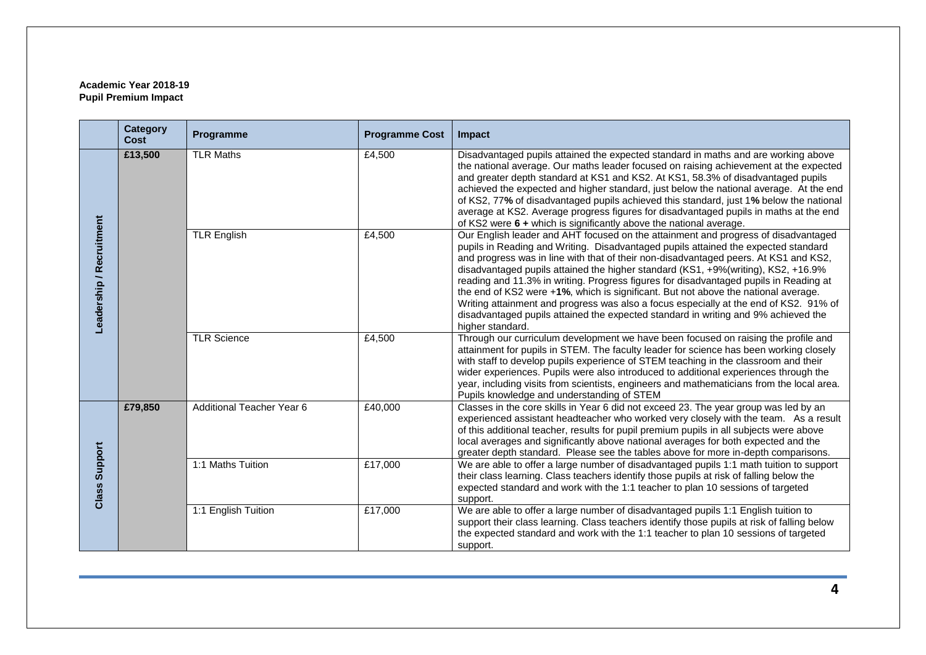## **Academic Year 2018-19 Pupil Premium Impact**

|                          | <b>Category</b><br>Cost | Programme                 | <b>Programme Cost</b> | Impact                                                                                                                                                                                                                                                                                                                                                                                                                                                                                                                                                                                                                                                                                                                                  |  |  |  |  |
|--------------------------|-------------------------|---------------------------|-----------------------|-----------------------------------------------------------------------------------------------------------------------------------------------------------------------------------------------------------------------------------------------------------------------------------------------------------------------------------------------------------------------------------------------------------------------------------------------------------------------------------------------------------------------------------------------------------------------------------------------------------------------------------------------------------------------------------------------------------------------------------------|--|--|--|--|
| Leadership / Recruitment | £13,500                 | <b>TLR Maths</b>          | £4,500                | Disadvantaged pupils attained the expected standard in maths and are working above<br>the national average. Our maths leader focused on raising achievement at the expected<br>and greater depth standard at KS1 and KS2. At KS1, 58.3% of disadvantaged pupils<br>achieved the expected and higher standard, just below the national average. At the end<br>of KS2, 77% of disadvantaged pupils achieved this standard, just 1% below the national<br>average at KS2. Average progress figures for disadvantaged pupils in maths at the end<br>of KS2 were 6 + which is significantly above the national average.                                                                                                                      |  |  |  |  |
|                          |                         | <b>TLR English</b>        | £4,500                | Our English leader and AHT focused on the attainment and progress of disadvantaged<br>pupils in Reading and Writing. Disadvantaged pupils attained the expected standard<br>and progress was in line with that of their non-disadvantaged peers. At KS1 and KS2,<br>disadvantaged pupils attained the higher standard (KS1, +9%(writing), KS2, +16.9%<br>reading and 11.3% in writing. Progress figures for disadvantaged pupils in Reading at<br>the end of KS2 were +1%, which is significant. But not above the national average.<br>Writing attainment and progress was also a focus especially at the end of KS2. 91% of<br>disadvantaged pupils attained the expected standard in writing and 9% achieved the<br>higher standard. |  |  |  |  |
|                          |                         | <b>TLR Science</b>        | £4,500                | Through our curriculum development we have been focused on raising the profile and<br>attainment for pupils in STEM. The faculty leader for science has been working closely<br>with staff to develop pupils experience of STEM teaching in the classroom and their<br>wider experiences. Pupils were also introduced to additional experiences through the<br>year, including visits from scientists, engineers and mathematicians from the local area.<br>Pupils knowledge and understanding of STEM                                                                                                                                                                                                                                  |  |  |  |  |
|                          | £79,850                 | Additional Teacher Year 6 | £40,000               | Classes in the core skills in Year 6 did not exceed 23. The year group was led by an<br>experienced assistant headteacher who worked very closely with the team. As a result<br>of this additional teacher, results for pupil premium pupils in all subjects were above<br>local averages and significantly above national averages for both expected and the<br>greater depth standard. Please see the tables above for more in-depth comparisons.                                                                                                                                                                                                                                                                                     |  |  |  |  |
| Support<br>Class         |                         | 1:1 Maths Tuition         | £17,000               | We are able to offer a large number of disadvantaged pupils 1:1 math tuition to support<br>their class learning. Class teachers identify those pupils at risk of falling below the<br>expected standard and work with the 1:1 teacher to plan 10 sessions of targeted<br>support.                                                                                                                                                                                                                                                                                                                                                                                                                                                       |  |  |  |  |
|                          |                         | 1:1 English Tuition       | £17,000               | We are able to offer a large number of disadvantaged pupils 1:1 English tuition to<br>support their class learning. Class teachers identify those pupils at risk of falling below<br>the expected standard and work with the 1:1 teacher to plan 10 sessions of targeted<br>support.                                                                                                                                                                                                                                                                                                                                                                                                                                                    |  |  |  |  |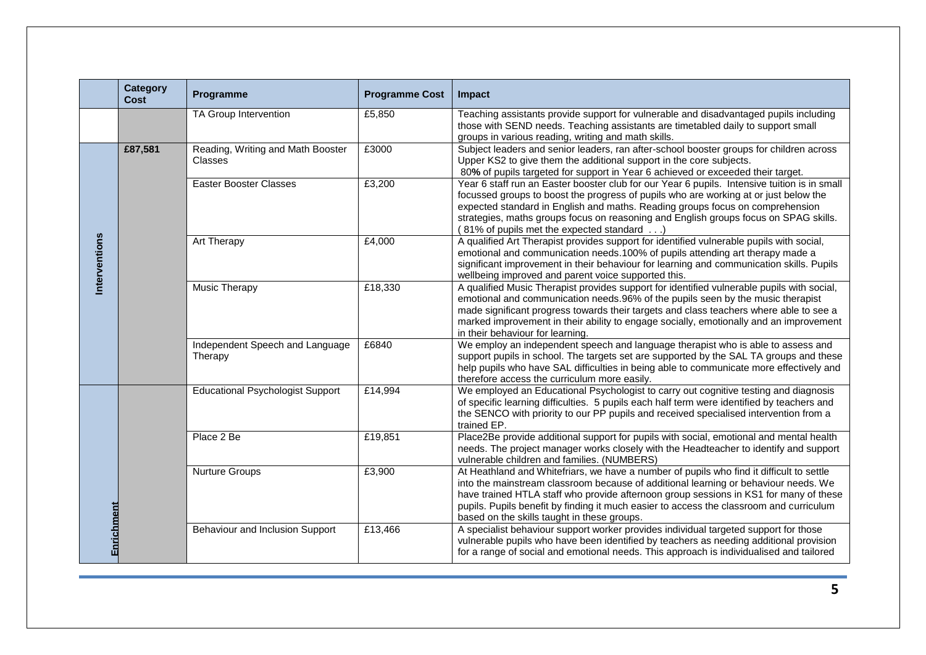|               | <b>Category</b><br>Cost | Programme                                    | <b>Programme Cost</b> | Impact                                                                                                                                                                                                                                                                                                                                                                                                             |
|---------------|-------------------------|----------------------------------------------|-----------------------|--------------------------------------------------------------------------------------------------------------------------------------------------------------------------------------------------------------------------------------------------------------------------------------------------------------------------------------------------------------------------------------------------------------------|
|               |                         | TA Group Intervention                        | £5,850                | Teaching assistants provide support for vulnerable and disadvantaged pupils including<br>those with SEND needs. Teaching assistants are timetabled daily to support small<br>groups in various reading, writing and math skills.                                                                                                                                                                                   |
|               | £87,581                 | Reading, Writing and Math Booster<br>Classes | £3000                 | Subject leaders and senior leaders, ran after-school booster groups for children across<br>Upper KS2 to give them the additional support in the core subjects.<br>80% of pupils targeted for support in Year 6 achieved or exceeded their target.                                                                                                                                                                  |
|               |                         | <b>Easter Booster Classes</b>                | £3,200                | Year 6 staff run an Easter booster club for our Year 6 pupils. Intensive tuition is in small<br>focussed groups to boost the progress of pupils who are working at or just below the<br>expected standard in English and maths. Reading groups focus on comprehension<br>strategies, maths groups focus on reasoning and English groups focus on SPAG skills.<br>(81% of pupils met the expected standard)         |
| Interventions |                         | Art Therapy                                  | £4,000                | A qualified Art Therapist provides support for identified vulnerable pupils with social,<br>emotional and communication needs.100% of pupils attending art therapy made a<br>significant improvement in their behaviour for learning and communication skills. Pupils<br>wellbeing improved and parent voice supported this.                                                                                       |
|               |                         | Music Therapy                                | £18,330               | A qualified Music Therapist provides support for identified vulnerable pupils with social,<br>emotional and communication needs.96% of the pupils seen by the music therapist<br>made significant progress towards their targets and class teachers where able to see a<br>marked improvement in their ability to engage socially, emotionally and an improvement<br>in their behaviour for learning.              |
|               |                         | Independent Speech and Language<br>Therapy   | £6840                 | We employ an independent speech and language therapist who is able to assess and<br>support pupils in school. The targets set are supported by the SAL TA groups and these<br>help pupils who have SAL difficulties in being able to communicate more effectively and<br>therefore access the curriculum more easily.                                                                                              |
|               |                         | <b>Educational Psychologist Support</b>      | £14,994               | We employed an Educational Psychologist to carry out cognitive testing and diagnosis<br>of specific learning difficulties. 5 pupils each half term were identified by teachers and<br>the SENCO with priority to our PP pupils and received specialised intervention from a<br>trained EP.                                                                                                                         |
|               |                         | Place 2 Be                                   | £19,851               | Place2Be provide additional support for pupils with social, emotional and mental health<br>needs. The project manager works closely with the Headteacher to identify and support<br>vulnerable children and families. (NUMBERS)                                                                                                                                                                                    |
|               |                         | Nurture Groups                               | £3,900                | At Heathland and Whitefriars, we have a number of pupils who find it difficult to settle<br>into the mainstream classroom because of additional learning or behaviour needs. We<br>have trained HTLA staff who provide afternoon group sessions in KS1 for many of these<br>pupils. Pupils benefit by finding it much easier to access the classroom and curriculum<br>based on the skills taught in these groups. |
| Enrichment    |                         | Behaviour and Inclusion Support              | £13,466               | A specialist behaviour support worker provides individual targeted support for those<br>vulnerable pupils who have been identified by teachers as needing additional provision<br>for a range of social and emotional needs. This approach is individualised and tailored                                                                                                                                          |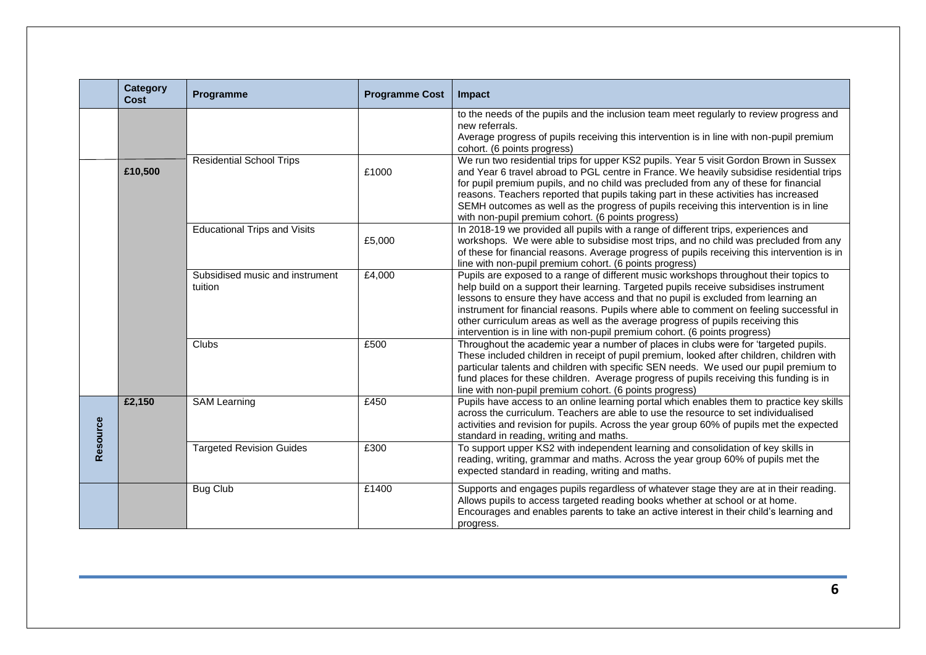|          | <b>Category</b><br>Cost                                                                                                                                                                                                                                                                                                                                                                                                             | Programme                       | <b>Programme Cost</b> | Impact                                                                                                                                                                                                                                                                                                                                                                                                                                                                                                                          |  |  |  |
|----------|-------------------------------------------------------------------------------------------------------------------------------------------------------------------------------------------------------------------------------------------------------------------------------------------------------------------------------------------------------------------------------------------------------------------------------------|---------------------------------|-----------------------|---------------------------------------------------------------------------------------------------------------------------------------------------------------------------------------------------------------------------------------------------------------------------------------------------------------------------------------------------------------------------------------------------------------------------------------------------------------------------------------------------------------------------------|--|--|--|
|          |                                                                                                                                                                                                                                                                                                                                                                                                                                     |                                 |                       | to the needs of the pupils and the inclusion team meet regularly to review progress and<br>new referrals.<br>Average progress of pupils receiving this intervention is in line with non-pupil premium<br>cohort. (6 points progress)                                                                                                                                                                                                                                                                                            |  |  |  |
|          | £10,500                                                                                                                                                                                                                                                                                                                                                                                                                             | <b>Residential School Trips</b> | £1000                 | We run two residential trips for upper KS2 pupils. Year 5 visit Gordon Brown in Sussex<br>and Year 6 travel abroad to PGL centre in France. We heavily subsidise residential trips<br>for pupil premium pupils, and no child was precluded from any of these for financial<br>reasons. Teachers reported that pupils taking part in these activities has increased<br>SEMH outcomes as well as the progress of pupils receiving this intervention is in line<br>with non-pupil premium cohort. (6 points progress)              |  |  |  |
|          | <b>Educational Trips and Visits</b><br>In 2018-19 we provided all pupils with a range of different trips, experiences and<br>workshops. We were able to subsidise most trips, and no child was precluded from any<br>£5,000<br>of these for financial reasons. Average progress of pupils receiving this intervention is in<br>line with non-pupil premium cohort. (6 points progress)<br>£4,000<br>Subsidised music and instrument |                                 |                       |                                                                                                                                                                                                                                                                                                                                                                                                                                                                                                                                 |  |  |  |
|          |                                                                                                                                                                                                                                                                                                                                                                                                                                     | tuition                         |                       | Pupils are exposed to a range of different music workshops throughout their topics to<br>help build on a support their learning. Targeted pupils receive subsidises instrument<br>lessons to ensure they have access and that no pupil is excluded from learning an<br>instrument for financial reasons. Pupils where able to comment on feeling successful in<br>other curriculum areas as well as the average progress of pupils receiving this<br>intervention is in line with non-pupil premium cohort. (6 points progress) |  |  |  |
|          |                                                                                                                                                                                                                                                                                                                                                                                                                                     | Clubs                           | £500                  | Throughout the academic year a number of places in clubs were for 'targeted pupils.<br>These included children in receipt of pupil premium, looked after children, children with<br>particular talents and children with specific SEN needs. We used our pupil premium to<br>fund places for these children. Average progress of pupils receiving this funding is in<br>line with non-pupil premium cohort. (6 points progress)                                                                                                 |  |  |  |
| Resource | £2,150                                                                                                                                                                                                                                                                                                                                                                                                                              | <b>SAM Learning</b>             | £450                  | Pupils have access to an online learning portal which enables them to practice key skills<br>across the curriculum. Teachers are able to use the resource to set individualised<br>activities and revision for pupils. Across the year group 60% of pupils met the expected<br>standard in reading, writing and maths.                                                                                                                                                                                                          |  |  |  |
|          |                                                                                                                                                                                                                                                                                                                                                                                                                                     | <b>Targeted Revision Guides</b> | £300                  | To support upper KS2 with independent learning and consolidation of key skills in<br>reading, writing, grammar and maths. Across the year group 60% of pupils met the<br>expected standard in reading, writing and maths.                                                                                                                                                                                                                                                                                                       |  |  |  |
|          |                                                                                                                                                                                                                                                                                                                                                                                                                                     | <b>Bug Club</b>                 | £1400                 | Supports and engages pupils regardless of whatever stage they are at in their reading.<br>Allows pupils to access targeted reading books whether at school or at home.<br>Encourages and enables parents to take an active interest in their child's learning and<br>progress.                                                                                                                                                                                                                                                  |  |  |  |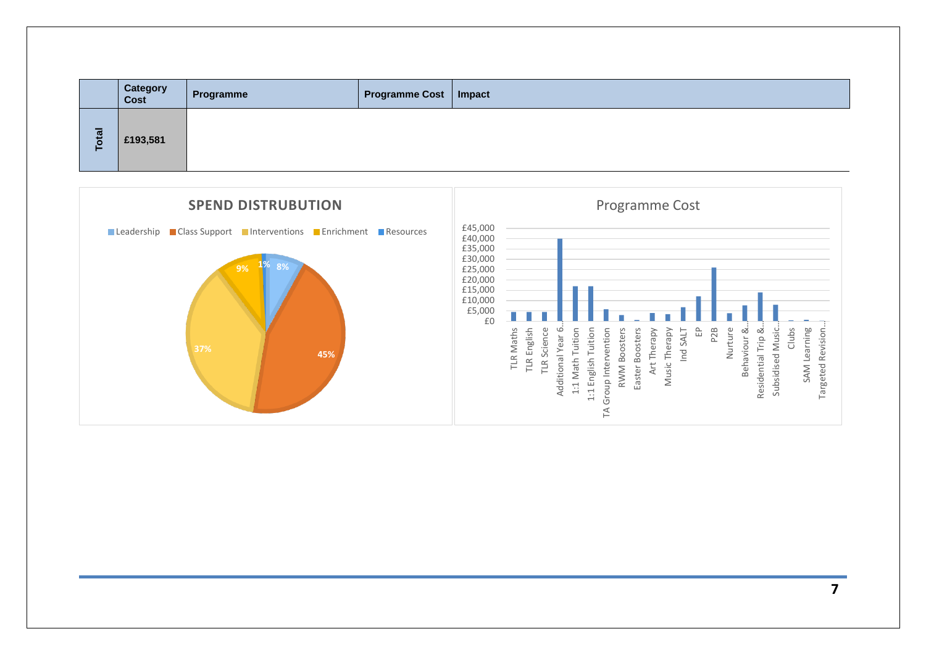|   | <b>Category</b><br>Cost | Programme | <b>Programme Cost   Impact</b> |  |
|---|-------------------------|-----------|--------------------------------|--|
| 쯥 | £193,581                |           |                                |  |

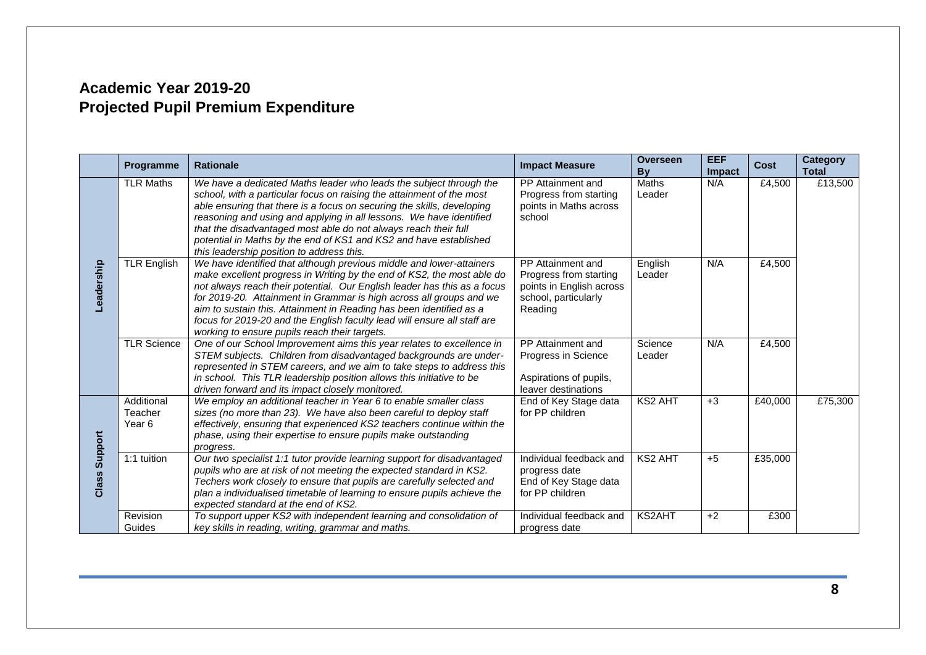# **Academic Year 2019-20 Projected Pupil Premium Expenditure**

|                  | Programme                                  | <b>Rationale</b>                                                                                                                                                                                                                                                                                                                                                                                                                                                                                      | <b>Impact Measure</b>                                                                                      | <b>Overseen</b><br><b>Bv</b> | <b>EEF</b><br>Impact | <b>Cost</b> | <b>Category</b><br><b>Total</b> |
|------------------|--------------------------------------------|-------------------------------------------------------------------------------------------------------------------------------------------------------------------------------------------------------------------------------------------------------------------------------------------------------------------------------------------------------------------------------------------------------------------------------------------------------------------------------------------------------|------------------------------------------------------------------------------------------------------------|------------------------------|----------------------|-------------|---------------------------------|
|                  | <b>TLR Maths</b>                           | We have a dedicated Maths leader who leads the subject through the<br>school, with a particular focus on raising the attainment of the most<br>able ensuring that there is a focus on securing the skills, developing<br>reasoning and using and applying in all lessons. We have identified<br>that the disadvantaged most able do not always reach their full<br>potential in Maths by the end of KS1 and KS2 and have established<br>this leadership position to address this.                     | PP Attainment and<br>Progress from starting<br>points in Maths across<br>school                            | <b>Maths</b><br>Leader       | N/A                  | £4,500      | £13,500                         |
| Leadership       | <b>TLR English</b>                         | We have identified that although previous middle and lower-attainers<br>make excellent progress in Writing by the end of KS2, the most able do<br>not always reach their potential. Our English leader has this as a focus<br>for 2019-20. Attainment in Grammar is high across all groups and we<br>aim to sustain this. Attainment in Reading has been identified as a<br>focus for 2019-20 and the English faculty lead will ensure all staff are<br>working to ensure pupils reach their targets. | PP Attainment and<br>Progress from starting<br>points in English across<br>school, particularly<br>Reading | English<br>Leader            | N/A                  | £4,500      |                                 |
|                  | <b>TLR Science</b>                         | One of our School Improvement aims this year relates to excellence in<br>STEM subjects. Children from disadvantaged backgrounds are under-<br>represented in STEM careers, and we aim to take steps to address this<br>in school. This TLR leadership position allows this initiative to be<br>driven forward and its impact closely monitored.                                                                                                                                                       | PP Attainment and<br>Progress in Science<br>Aspirations of pupils,<br>leaver destinations                  | Science<br>Leader            | N/A                  | £4,500      |                                 |
| Support<br>Class | Additional<br>Teacher<br>Year <sub>6</sub> | We employ an additional teacher in Year 6 to enable smaller class<br>sizes (no more than 23). We have also been careful to deploy staff<br>effectively, ensuring that experienced KS2 teachers continue within the<br>phase, using their expertise to ensure pupils make outstanding<br>progress.                                                                                                                                                                                                     | End of Key Stage data<br>for PP children                                                                   | <b>KS2 AHT</b>               | $+3$                 | £40,000     | £75,300                         |
|                  | 1:1 tuition                                | Our two specialist 1:1 tutor provide learning support for disadvantaged<br>pupils who are at risk of not meeting the expected standard in KS2.<br>Techers work closely to ensure that pupils are carefully selected and<br>plan a individualised timetable of learning to ensure pupils achieve the<br>expected standard at the end of KS2.                                                                                                                                                           | Individual feedback and<br>progress date<br>End of Key Stage data<br>for PP children                       | <b>KS2 AHT</b>               | $+5$                 | £35,000     |                                 |
|                  | Revision<br>Guides                         | To support upper KS2 with independent learning and consolidation of<br>key skills in reading, writing, grammar and maths.                                                                                                                                                                                                                                                                                                                                                                             | Individual feedback and<br>progress date                                                                   | <b>KS2AHT</b>                | $+2$                 | £300        |                                 |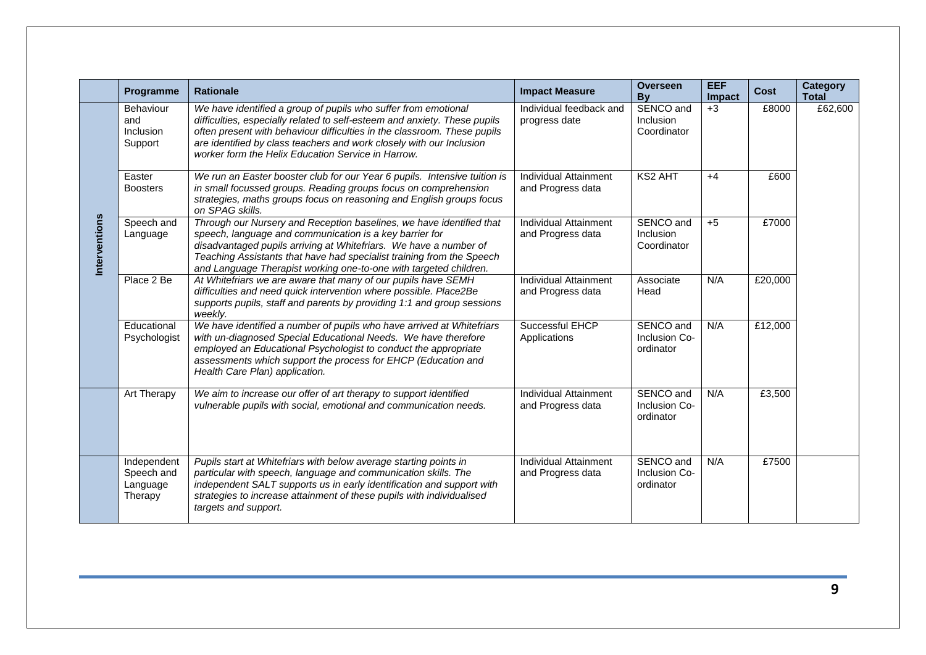|               | Programme                                        | <b>Rationale</b>                                                                                                                                                                                                                                                                                                                                      | <b>Impact Measure</b>                             | <b>Overseen</b><br>By                   | <b>EEF</b><br><b>Impact</b> | <b>Cost</b> | Category<br><b>Total</b> |
|---------------|--------------------------------------------------|-------------------------------------------------------------------------------------------------------------------------------------------------------------------------------------------------------------------------------------------------------------------------------------------------------------------------------------------------------|---------------------------------------------------|-----------------------------------------|-----------------------------|-------------|--------------------------|
|               | Behaviour<br>and<br>Inclusion<br>Support         | We have identified a group of pupils who suffer from emotional<br>difficulties, especially related to self-esteem and anxiety. These pupils<br>often present with behaviour difficulties in the classroom. These pupils<br>are identified by class teachers and work closely with our Inclusion<br>worker form the Helix Education Service in Harrow. | Individual feedback and<br>progress date          | SENCO and<br>Inclusion<br>Coordinator   | $+3$                        | £8000       | £62,600                  |
| Interventions | Easter<br><b>Boosters</b>                        | We run an Easter booster club for our Year 6 pupils. Intensive tuition is<br>in small focussed groups. Reading groups focus on comprehension<br>strategies, maths groups focus on reasoning and English groups focus<br>on SPAG skills.                                                                                                               | <b>Individual Attainment</b><br>and Progress data | <b>KS2 AHT</b>                          | $+4$                        | £600        |                          |
|               | Speech and<br>Language                           | Through our Nursery and Reception baselines, we have identified that<br>speech, language and communication is a key barrier for<br>disadvantaged pupils arriving at Whitefriars. We have a number of<br>Teaching Assistants that have had specialist training from the Speech<br>and Language Therapist working one-to-one with targeted children.    | Individual Attainment<br>and Progress data        | SENCO and<br>Inclusion<br>Coordinator   | $+5$                        | £7000       |                          |
|               | Place 2 Be                                       | At Whitefriars we are aware that many of our pupils have SEMH<br>difficulties and need quick intervention where possible. Place2Be<br>supports pupils, staff and parents by providing 1:1 and group sessions<br>weekly.                                                                                                                               | <b>Individual Attainment</b><br>and Progress data | Associate<br>Head                       | N/A                         | £20,000     |                          |
|               | Educational<br>Psychologist                      | We have identified a number of pupils who have arrived at Whitefriars<br>with un-diagnosed Special Educational Needs. We have therefore<br>employed an Educational Psychologist to conduct the appropriate<br>assessments which support the process for EHCP (Education and<br>Health Care Plan) application.                                         | Successful EHCP<br>Applications                   | SENCO and<br>Inclusion Co-<br>ordinator | N/A                         | £12,000     |                          |
|               | Art Therapy                                      | We aim to increase our offer of art therapy to support identified<br>vulnerable pupils with social, emotional and communication needs.                                                                                                                                                                                                                | Individual Attainment<br>and Progress data        | SENCO and<br>Inclusion Co-<br>ordinator | N/A                         | £3,500      |                          |
|               | Independent<br>Speech and<br>Language<br>Therapy | Pupils start at Whitefriars with below average starting points in<br>particular with speech, language and communication skills. The<br>independent SALT supports us in early identification and support with<br>strategies to increase attainment of these pupils with individualised<br>targets and support.                                         | <b>Individual Attainment</b><br>and Progress data | SENCO and<br>Inclusion Co-<br>ordinator | N/A                         | £7500       |                          |